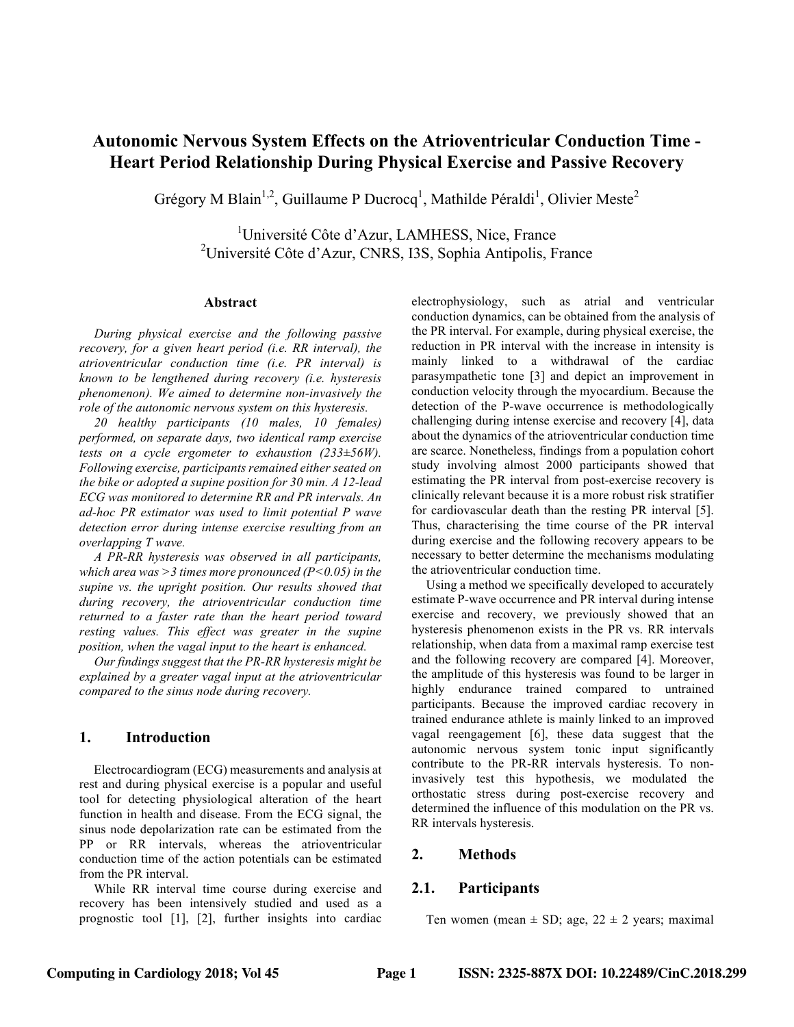# **Autonomic Nervous System Effects on the Atrioventricular Conduction Time - Heart Period Relationship During Physical Exercise and Passive Recovery**

Grégory M Blain<sup>1,2</sup>, Guillaume P Ducrocq<sup>1</sup>, Mathilde Péraldi<sup>1</sup>, Olivier Meste<sup>2</sup>

<sup>1</sup>Université Côte d'Azur, LAMHESS, Nice, France <sup>2</sup>Université Côte d'Azur, CNRS, I3S, Sophia Antipolis, France

#### **Abstract**

*During physical exercise and the following passive recovery, for a given heart period (i.e. RR interval), the atrioventricular conduction time (i.e. PR interval) is known to be lengthened during recovery (i.e. hysteresis phenomenon). We aimed to determine non-invasively the role of the autonomic nervous system on this hysteresis.*

*20 healthy participants (10 males, 10 females) performed, on separate days, two identical ramp exercise tests on a cycle ergometer to exhaustion (233±56W). Following exercise, participants remained either seated on the bike or adopted a supine position for 30 min. A 12-lead ECG was monitored to determine RR and PR intervals. An ad-hoc PR estimator was used to limit potential P wave detection error during intense exercise resulting from an overlapping T wave.*

*A PR-RR hysteresis was observed in all participants, which area was >3 times more pronounced (P<0.05) in the supine vs. the upright position. Our results showed that during recovery, the atrioventricular conduction time returned to a faster rate than the heart period toward resting values. This effect was greater in the supine position, when the vagal input to the heart is enhanced.*

*Our findings suggest that the PR-RR hysteresis might be explained by a greater vagal input at the atrioventricular compared to the sinus node during recovery.*

### **1. Introduction**

Electrocardiogram (ECG) measurements and analysis at rest and during physical exercise is a popular and useful tool for detecting physiological alteration of the heart function in health and disease. From the ECG signal, the sinus node depolarization rate can be estimated from the PP or RR intervals, whereas the atrioventricular conduction time of the action potentials can be estimated from the PR interval.

While RR interval time course during exercise and recovery has been intensively studied and used as a prognostic tool [1], [2], further insights into cardiac electrophysiology, such as atrial and ventricular conduction dynamics, can be obtained from the analysis of the PR interval. For example, during physical exercise, the reduction in PR interval with the increase in intensity is mainly linked to a withdrawal of the cardiac parasympathetic tone [3] and depict an improvement in conduction velocity through the myocardium. Because the detection of the P-wave occurrence is methodologically challenging during intense exercise and recovery [4], data about the dynamics of the atrioventricular conduction time are scarce. Nonetheless, findings from a population cohort study involving almost 2000 participants showed that estimating the PR interval from post-exercise recovery is clinically relevant because it is a more robust risk stratifier for cardiovascular death than the resting PR interval [5]. Thus, characterising the time course of the PR interval during exercise and the following recovery appears to be necessary to better determine the mechanisms modulating the atrioventricular conduction time.

Using a method we specifically developed to accurately estimate P-wave occurrence and PR interval during intense exercise and recovery, we previously showed that an hysteresis phenomenon exists in the PR vs. RR intervals relationship, when data from a maximal ramp exercise test and the following recovery are compared [4]. Moreover, the amplitude of this hysteresis was found to be larger in highly endurance trained compared to untrained participants. Because the improved cardiac recovery in trained endurance athlete is mainly linked to an improved vagal reengagement [6], these data suggest that the autonomic nervous system tonic input significantly contribute to the PR-RR intervals hysteresis. To noninvasively test this hypothesis, we modulated the orthostatic stress during post-exercise recovery and determined the influence of this modulation on the PR vs. RR intervals hysteresis.

# **2. Methods**

# **2.1. Participants**

Ten women (mean  $\pm$  SD; age, 22  $\pm$  2 years; maximal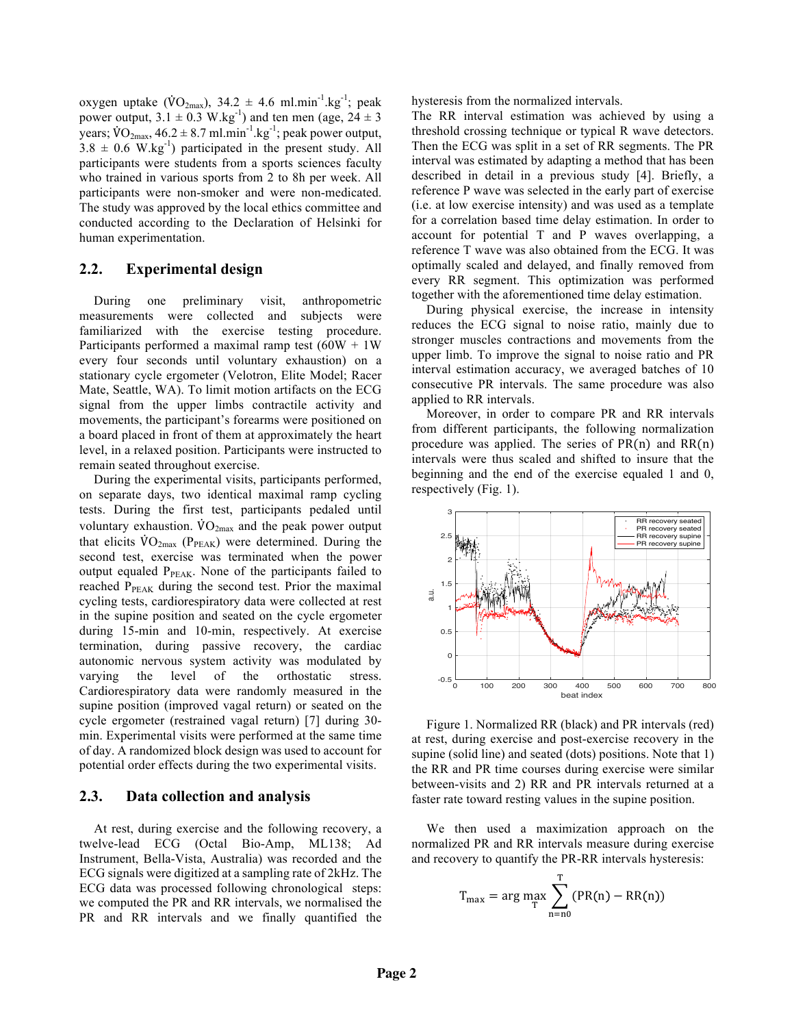oxygen uptake ( $\dot{V}O_{2\text{max}}$ ), 34.2  $\pm$  4.6 ml.min<sup>-1</sup>.kg<sup>-1</sup>; peak power output,  $3.1 \pm 0.3$  W.kg<sup>-1</sup>) and ten men (age,  $24 \pm 3$ years;  $\text{VO}_{2\text{max}}$ ,  $46.2 \pm 8.7 \text{ ml} \cdot \text{min}^{-1} \cdot \text{kg}^{-1}$ ; peak power output,  $3.8 \pm 0.6$  W.kg<sup>-1</sup>) participated in the present study. All participants were students from a sports sciences faculty who trained in various sports from 2 to 8h per week. All participants were non-smoker and were non-medicated. The study was approved by the local ethics committee and conducted according to the Declaration of Helsinki for human experimentation.

### **2.2. Experimental design**

During one preliminary visit, anthropometric measurements were collected and subjects were familiarized with the exercise testing procedure. Participants performed a maximal ramp test  $(60W + 1W)$ every four seconds until voluntary exhaustion) on a stationary cycle ergometer (Velotron, Elite Model; Racer Mate, Seattle, WA). To limit motion artifacts on the ECG signal from the upper limbs contractile activity and movements, the participant's forearms were positioned on a board placed in front of them at approximately the heart level, in a relaxed position. Participants were instructed to remain seated throughout exercise.

During the experimental visits, participants performed, on separate days, two identical maximal ramp cycling tests. During the first test, participants pedaled until voluntary exhaustion.  $\rm\dot{VO}_{2max}$  and the peak power output that elicits  $\rm \dot{V}O_{2max}$  (P<sub>PEAK</sub>) were determined. During the second test, exercise was terminated when the power output equaled  $P_{PEAK}$ . None of the participants failed to reached  $P_{\text{PEAK}}$  during the second test. Prior the maximal cycling tests, cardiorespiratory data were collected at rest in the supine position and seated on the cycle ergometer during 15-min and 10-min, respectively. At exercise termination, during passive recovery, the cardiac autonomic nervous system activity was modulated by varying the level of the orthostatic stress. Cardiorespiratory data were randomly measured in the supine position (improved vagal return) or seated on the cycle ergometer (restrained vagal return) [7] during 30 min. Experimental visits were performed at the same time of day. A randomized block design was used to account for potential order effects during the two experimental visits.

#### **2.3. Data collection and analysis**

At rest, during exercise and the following recovery, a twelve-lead ECG (Octal Bio-Amp, ML138; Ad Instrument, Bella-Vista, Australia) was recorded and the ECG signals were digitized at a sampling rate of 2kHz. The ECG data was processed following chronological steps: we computed the PR and RR intervals, we normalised the PR and RR intervals and we finally quantified the hysteresis from the normalized intervals.

The RR interval estimation was achieved by using a threshold crossing technique or typical R wave detectors. Then the ECG was split in a set of RR segments. The PR interval was estimated by adapting a method that has been described in detail in a previous study [4]. Briefly, a reference P wave was selected in the early part of exercise (i.e. at low exercise intensity) and was used as a template for a correlation based time delay estimation. In order to account for potential T and P waves overlapping, a reference T wave was also obtained from the ECG. It was optimally scaled and delayed, and finally removed from every RR segment. This optimization was performed together with the aforementioned time delay estimation.

During physical exercise, the increase in intensity reduces the ECG signal to noise ratio, mainly due to stronger muscles contractions and movements from the upper limb. To improve the signal to noise ratio and PR interval estimation accuracy, we averaged batches of 10 consecutive PR intervals. The same procedure was also applied to RR intervals.

Moreover, in order to compare PR and RR intervals from different participants, the following normalization procedure was applied. The series of  $PR(n)$  and  $RR(n)$ intervals were thus scaled and shifted to insure that the beginning and the end of the exercise equaled 1 and 0, respectively (Fig. 1).



Figure 1. Normalized RR (black) and PR intervals (red) at rest, during exercise and post-exercise recovery in the supine (solid line) and seated (dots) positions. Note that 1) the RR and PR time courses during exercise were similar between-visits and 2) RR and PR intervals returned at a faster rate toward resting values in the supine position.

We then used a maximization approach on the normalized PR and RR intervals measure during exercise and recovery to quantify the PR-RR intervals hysteresis:

$$
T_{\max} = \arg\max_{T} \sum_{n=n0}^{T} (PR(n) - RR(n))
$$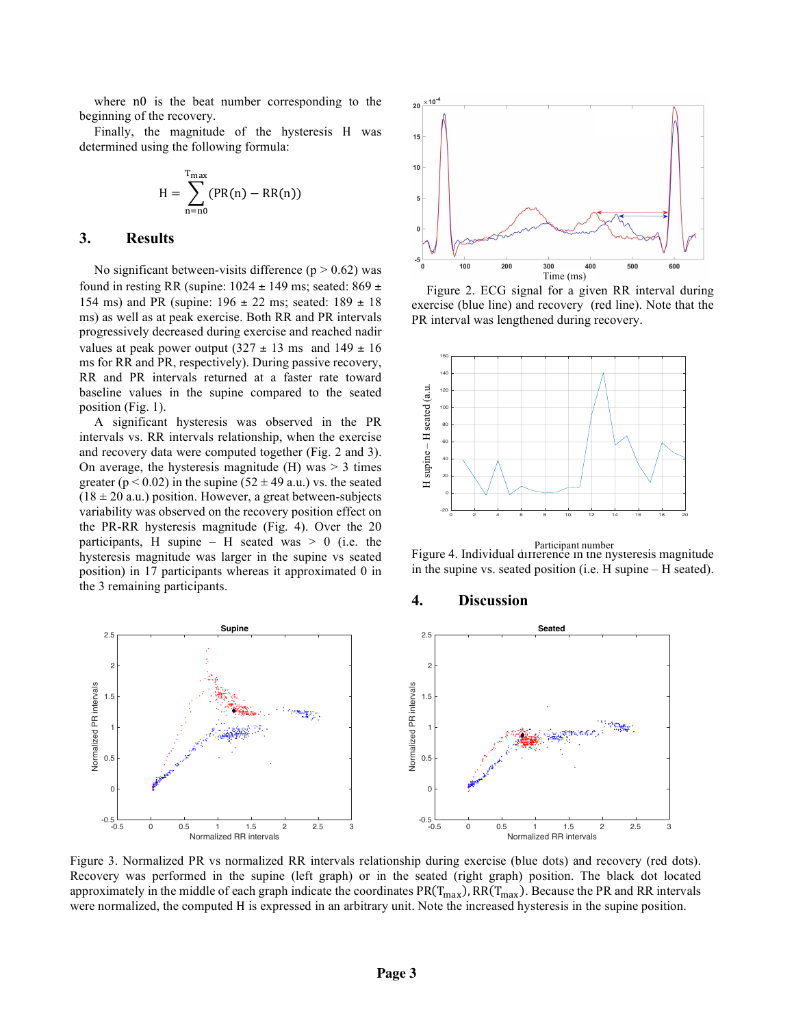where n0 is the beat number corresponding to the beginning of the recovery.

Finally, the magnitude of the hysteresis H was determined using the following formula:

$$
H = \sum_{n=n0}^{T_{\text{max}}} (PR(n) - RR(n))
$$

### **3. Results**

No significant between-visits difference  $(p > 0.62)$  was found in resting RR (supine:  $1024 \pm 149$  ms; seated:  $869 \pm 149$ 154 ms) and PR (supine:  $196 \pm 22$  ms; seated:  $189 \pm 18$ ms) as well as at peak exercise. Both RR and PR intervals progressively decreased during exercise and reached nadir values at peak power output  $(327 \pm 13 \text{ ms} \text{ and } 149 \pm 16 \text{ m})$ ms for RR and PR, respectively). During passive recovery, RR and PR intervals returned at a faster rate toward baseline values in the supine compared to the seated position (Fig. 1).

A significant hysteresis was observed in the PR intervals vs. RR intervals relationship, when the exercise and recovery data were computed together (Fig. 2 and 3). On average, the hysteresis magnitude  $(H)$  was  $> 3$  times greater ( $p < 0.02$ ) in the supine ( $52 \pm 49$  a.u.) vs. the seated  $(18 \pm 20 \text{ a.u.})$  position. However, a great between-subjects variability was observed on the recovery position effect on the PR-RR hysteresis magnitude (Fig. 4). Over the 20 participants, H supine – H seated was  $> 0$  (i.e. the hysteresis magnitude was larger in the supine vs seated position) in 17 participants whereas it approximated 0 in the 3 remaining participants.





Figure 1F **iguro**o2ttio**n de deux partoiler cardiagues identiques en val é eluring**ilieu d'eff**ox cue is e<sub>t</sub> (blue line) and recov esy**ge**(red line). Note phat uthe** eme intervalle RDR interval av as il engthened during recovery ération.



Participant number<br>Figure 4. Individual difference in the nysteresis magnitude in the supine vs. seated position (i.e. H supine – H seated).

#### **4. Discussion**



Figure 3. Normalized PR vs normalized RR intervals relationship during exercise (blue dots) and recovery (red dots). Recovery was performed in the supine (left graph) or in the seated (right graph) position. The black dot located approximately in the middle of each graph indicate the coordinates  $PR(T_{max})$ , RR( $T_{max}$ ). Because the PR and RR intervals were normalized, the computed H is expressed in an arbitrary unit. Note the increased hysteresis in the supine position.